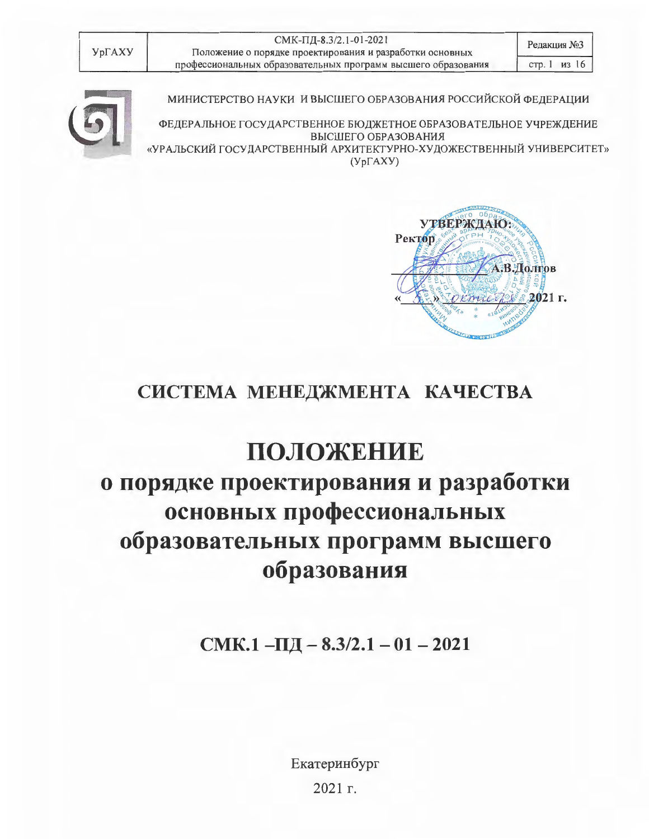| УрГАХУ |
|--------|
|--------|

СМК-ПД-8.3/2.1-01-2021 Положение о порядке проектирования и разработки основных профессиональных образовательных программ высшего образования



МИНИСТЕРСТВО НАУКИ И ВЫСШЕГО ОБРАЗОВАНИЯ РОССИЙСКОЙ ФЕДЕРАЦИИ

ФЕДЕРАЛЬНОЕ ГОСУДАРСТВЕННОЕ БЮДЖЕТНОЕ ОБРАЗОВАТЕЛЬНОЕ УЧРЕЖДЕНИЕ ВЫСШЕГО ОБРАЗОВАНИЯ «УРАЛЬСКИЙ ГОСУДАРСТВЕННЫЙ АРХИТЕКТУРНО-ХУДОЖЕСТВЕННЫЙ УНИВЕРСИТЕТ»  $(Yp\Gamma A XY)$ 



# СИСТЕМА МЕНЕДЖМЕНТА КАЧЕСТВА

# ПОЛОЖЕНИЕ о порядке проектирования и разработки основных профессиональных образовательных программ высшего образования

 $CMK.1 -\Pi \Pi - 8.3/2.1 - 01 - 2021$ 

Екатеринбург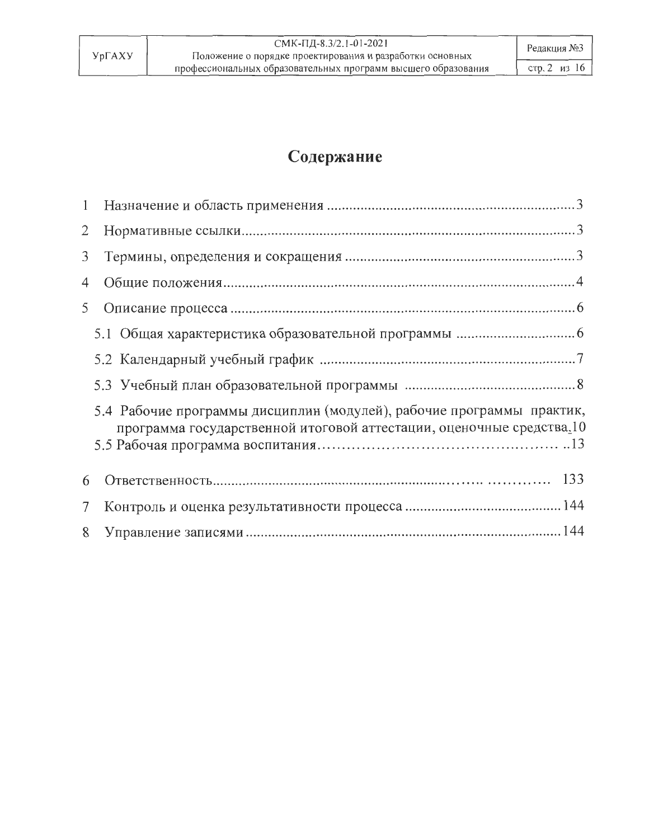# Содержание

|                | $\overline{2}$                                                                                                                                |
|----------------|-----------------------------------------------------------------------------------------------------------------------------------------------|
| 3              |                                                                                                                                               |
| 4              |                                                                                                                                               |
| 5              |                                                                                                                                               |
|                |                                                                                                                                               |
|                |                                                                                                                                               |
|                |                                                                                                                                               |
|                | 5.4 Рабочие программы дисциплин (модулей), рабочие программы практик,<br>программа государственной итоговой аттестации, оценочные средства.10 |
| 6              |                                                                                                                                               |
| 7 <sup>1</sup> |                                                                                                                                               |
|                | 8                                                                                                                                             |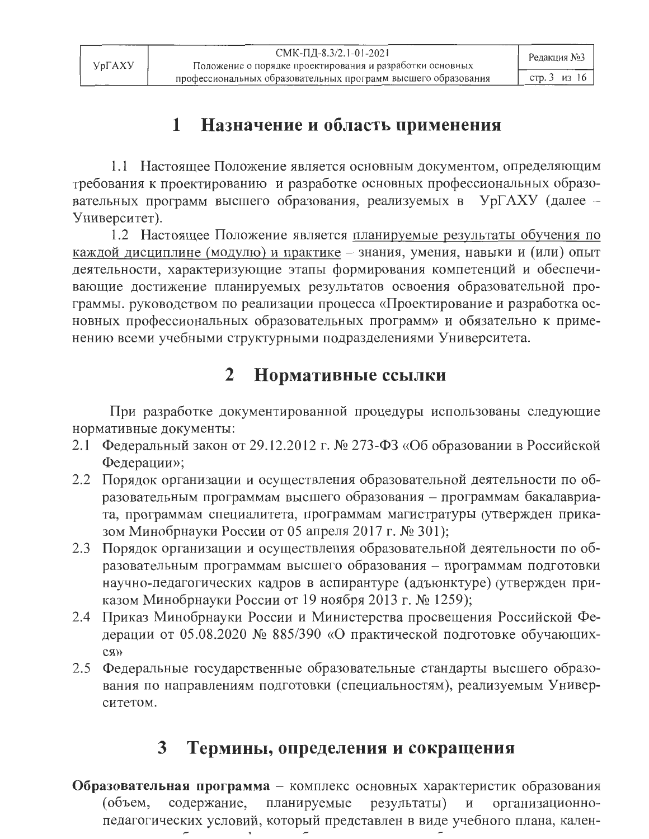### Назначение и область применения  $\mathbf{1}$

1.1 Настоящее Положение является основным документом, определяющим требования к проектированию и разработке основных профессиональных образовательных программ высшего образования, реализуемых в УрГАХУ (далее -Университет).

1.2 Настоящее Положение является планируемые результаты обучения по каждой дисциплине (модулю) и практике - знания, умения, навыки и (или) опыт деятельности, характеризующие этапы формирования компетенций и обеспечивающие достижение планируемых результатов освоения образовательной программы. руководством по реализации процесса «Проектирование и разработка основных профессиональных образовательных программ» и обязательно к применению всеми учебными структурными подразделениями Университета.

### $\overline{2}$ Нормативные ссылки

При разработке документированной процедуры использованы следующие нормативные документы:

- 2.1 Федеральный закон от 29.12.2012 г. № 273-ФЗ «Об образовании в Российской Федерации»;
- 2.2 Порядок организации и осуществления образовательной деятельности по образовательным программам высшего образования - программам бакалавриата, программам специалитета, программам магистратуры (утвержден приказом Минобрнауки России от 05 апреля 2017 г. № 301);
- 2.3 Порядок организации и осуществления образовательной деятельности по образовательным программам высшего образования - программам подготовки научно-педагогических кадров в аспирантуре (адъюнктуре) (утвержден приказом Минобрнауки России от 19 ноября 2013 г. № 1259);
- 2.4 Приказ Минобрнауки России и Министерства просвещения Российской Федерации от 05.08.2020 № 885/390 «О практической подготовке обучающих- $C$ *R* $\rightarrow$
- 2.5 Федеральные государственные образовательные стандарты высшего образования по направлениям подготовки (специальностям), реализуемым Университетом.

### Термины, определения и сокращения 3

Образовательная программа - комплекс основных характеристик образования (объем, содержание, планируемые результаты)  $\, {\rm H}$ организационнопедагогических условий, который представлен в виде учебного плана, кален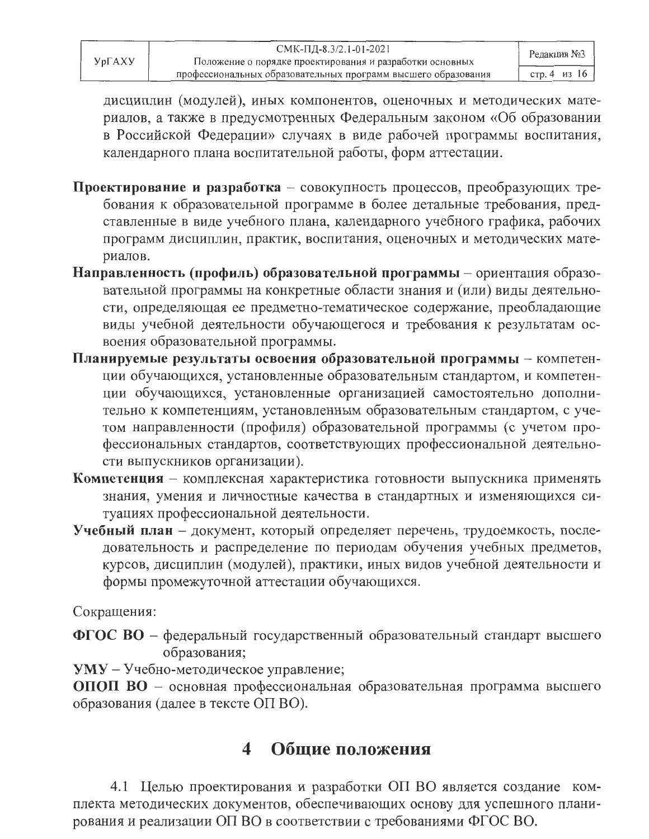дисциплин (модулей), иных компонентов, оценочных и методических материалов, а также в предусмотренных Федеральным законом «Об образовании в Российской Федерации» случаях в виде рабочей программы воспитания, календарного плана воспитательной работы, форм аттестации.

- Проектирование и разработка совокупность процессов, преобразующих требования к образовательной программе в более детальные требования, представленные в виде учебного плана, календарного учебного графика, рабочих программ дисциплин, практик, воспитания, оценочных и методических материалов.
- Направленность (профиль) образовательной программы ориентация образовательной программы на конкретные области знания и (или) виды деятельности, определяющая ее предметно-тематическое содержание, преобладающие виды учебной деятельности обучающегося и требования к результатам освоения образовательной программы.
- Планируемые результаты освоения образовательной программы компетенции обучающихся, установленные образовательным стандартом, и компетенции обучающихся, установленные организацией самостоятельно дополнительно к компетенциям, установленным образовательным стандартом, с учетом направленности (профиля) образовательной программы (с учетом профессиональных стандартов, соответствующих профессиональной деятельности выпускников организации).
- Компетенция комплексная характеристика готовности выпускника применять знания, умения и личностные качества в стандартных и изменяющихся ситуациях профессиональной деятельности.
- Учебный план документ, который определяет перечень, трудоемкость, последовательность и распределение по периодам обучения учебных предметов, курсов, дисциплин (модулей), практики, иных видов учебной деятельности и формы промежуточной аттестации обучающихся.

Сокращения:

ФГОС ВО - федеральный государственный образовательный стандарт высшего образования;

**УМУ** - Учебно-методическое управление;

ОПОП ВО - основная профессиональная образовательная программа высшего образования (далее в тексте ОП ВО).

#### Общие положения  $\blacktriangleleft$

4.1 Целью проектирования и разработки ОП ВО является создание комплекта методических документов, обеспечивающих основу для успешного планирования и реализации ОП ВО в соответствии с требованиями ФГОС ВО.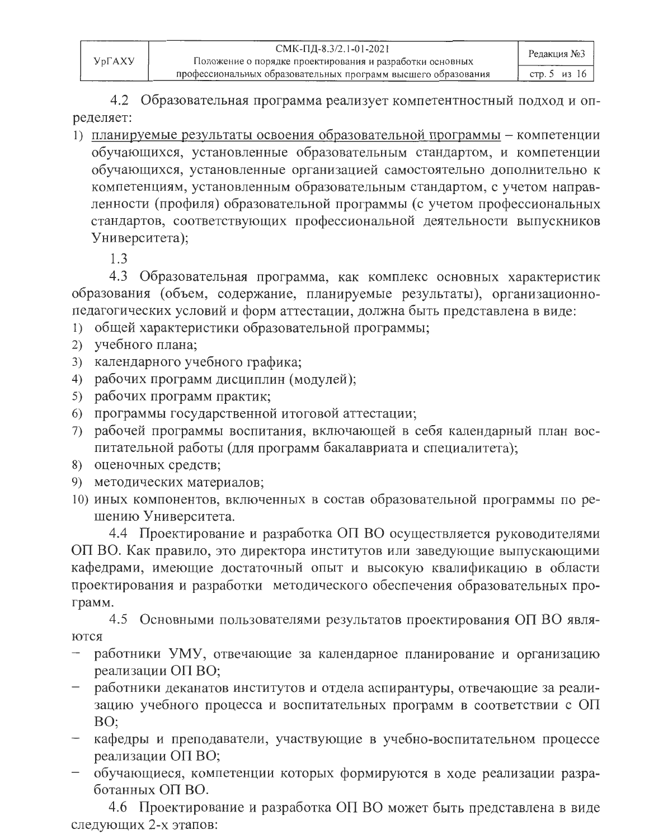4.2 Образовательная программа реализует компетентностный подход и определяет:

1) планируемые результаты освоения образовательной программы - компетенции обучающихся, установленные образовательным стандартом, и компетенции обучающихся, установленные организацией самостоятельно дополнительно к компетенциям, установленным образовательным стандартом, с учетом направленности (профиля) образовательной программы (с учетом профессиональных стандартов, соответствующих профессиональной деятельности выпускников Университета):

 $1.3$ 

4.3 Образовательная программа, как комплекс основных характеристик образования (объем, содержание, планируемые результаты), организационнопедагогических условий и форм аттестации, должна быть представлена в виде:

- 1) общей характеристики образовательной программы;
- 2) учебного плана;
- 3) календарного учебного графика;
- 4) рабочих программ дисциплин (модулей);
- 5) рабочих программ практик;
- 6) программы государственной итоговой аттестации;
- 7) рабочей программы воспитания, включающей в себя календарный план воспитательной работы (для программ бакалавриата и специалитета);
- 8) оценочных средств;
- 9) методических материалов;
- 10) иных компонентов, включенных в состав образовательной программы по решению Университета.

4.4 Проектирование и разработка ОП ВО осуществляется руководителями ОП ВО. Как правило, это директора институтов или заведующие выпускающими кафедрами, имеющие достаточный опыт и высокую квалификацию в области проектирования и разработки методического обеспечения образовательных программ.

4.5 Основными пользователями результатов проектирования ОП ВО являются

- работники УМУ, отвечающие за календарное планирование и организацию реализации ОП ВО;
- работники деканатов институтов и отдела аспирантуры, отвечающие за реализацию учебного процесса и воспитательных программ в соответствии с ОП BO;
- кафедры и преподаватели, участвующие в учебно-воспитательном процессе реализации ОП ВО;
- обучающиеся, компетенции которых формируются в ходе реализации разработанных ОП ВО.

4.6 Проектирование и разработка ОП ВО может быть представлена в виде следующих 2-х этапов: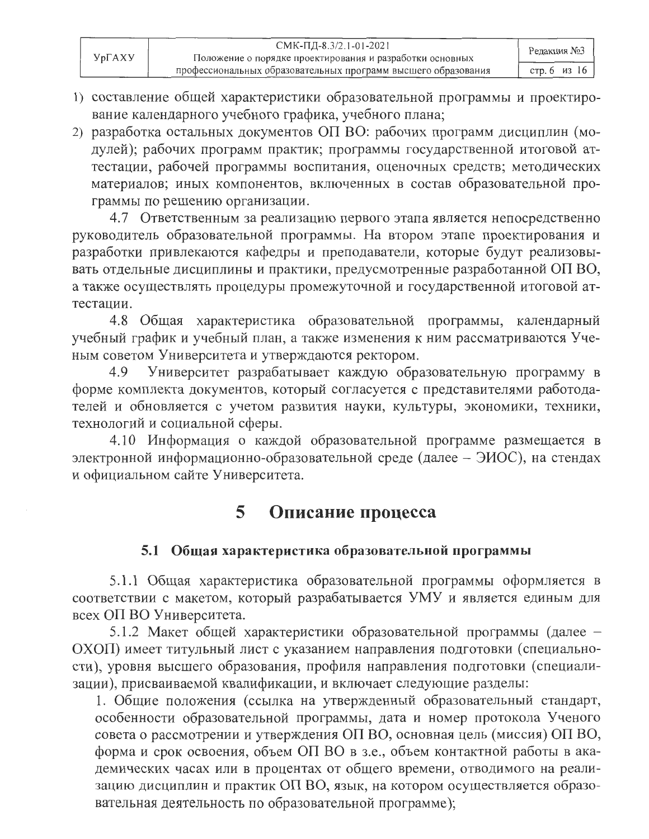- 1) составление общей характеристики образовательной программы и проектирование календарного учебного графика, учебного плана;
- 2) разработка остальных документов ОП ВО: рабочих программ дисциплин (модулей); рабочих программ практик; программы государственной итоговой аттестации, рабочей программы воспитания, оценочных средств; методических материалов; иных компонентов, включенных в состав образовательной программы по решению организации.

4.7 Ответственным за реализацию первого этапа является непосредственно руководитель образовательной программы. На втором этапе проектирования и разработки привлекаются кафедры и преподаватели, которые будут реализовывать отдельные дисциплины и практики, предусмотренные разработанной ОП ВО, а также осуществлять процедуры промежуточной и государственной итоговой аттестации.

4.8 Общая характеристика образовательной программы, календарный учебный график и учебный план, а также изменения к ним рассматриваются Ученым советом Университета и утверждаются ректором.

Университет разрабатывает каждую образовательную программу в 4.9 форме комплекта документов, который согласуется с представителями работодателей и обновляется с учетом развития науки, культуры, экономики, техники, технологий и социальной сферы.

4.10 Информация о каждой образовательной программе размещается в электронной информационно-образовательной среде (далее - ЭИОС), на стендах и официальном сайте Университета.

### Описание процесса 5

### 5.1 Общая характеристика образовательной программы

5.1.1 Общая характеристика образовательной программы оформляется в соответствии с макетом, который разрабатывается УМУ и является единым для всех ОП ВО Университета.

5.1.2 Макет общей характеристики образовательной программы (далее -ОХОП) имеет титульный лист с указанием направления подготовки (специальности), уровня высшего образования, профиля направления подготовки (специализации), присваиваемой квалификации, и включает следующие разделы:

1. Общие положения (ссылка на утвержденный образовательный стандарт, особенности образовательной программы, дата и номер протокола Ученого совета о рассмотрении и утверждения ОП ВО, основная цель (миссия) ОП ВО, форма и срок освоения, объем ОП ВО в з.е., объем контактной работы в академических часах или в процентах от общего времени, отводимого на реализацию дисциплин и практик ОП ВО, язык, на котором осуществляется образовательная деятельность по образовательной программе);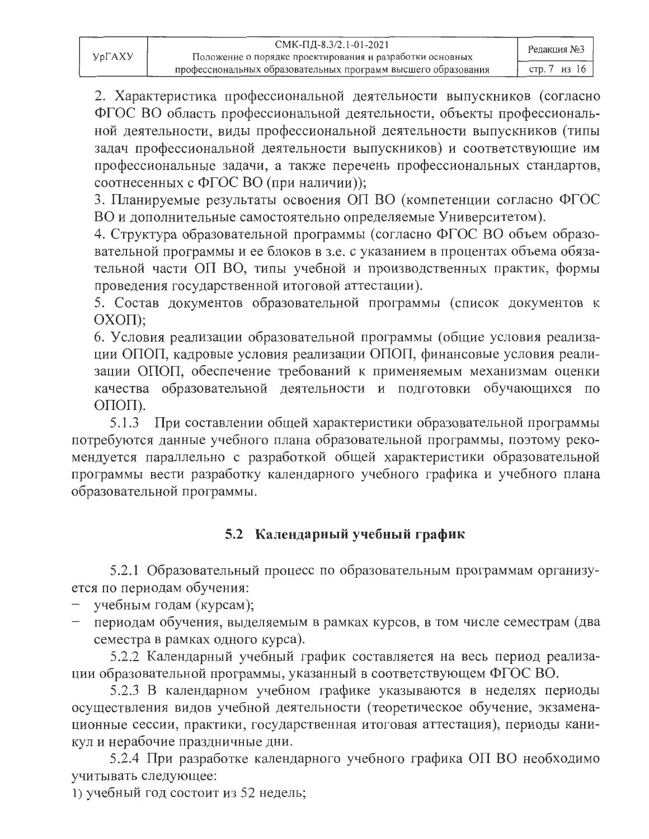2. Характеристика профессиональной деятельности выпускников (согласно ФГОС ВО область профессиональной деятельности, объекты профессиональной деятельности, виды профессиональной деятельности выпускников (типы задач профессиональной деятельности выпускников) и соответствующие им профессиональные задачи, а также перечень профессиональных стандартов, соотнесенных с ФГОС ВО (при наличии));

3. Планируемые результаты освоения ОП ВО (компетенции согласно ФГОС ВО и дополнительные самостоятельно определяемые Университетом).

4. Структура образовательной программы (согласно ФГОС ВО объем образовательной программы и ее блоков в з.е. с указанием в процентах объема обязательной части ОП ВО, типы учебной и производственных практик, формы проведения государственной итоговой аттестации).

5. Состав документов образовательной программы (список документов к  $OX$ O $\Pi$ );

6. Условия реализации образовательной программы (общие условия реализации ОПОП, кадровые условия реализации ОПОП, финансовые условия реализации ОПОП, обеспечение требований к применяемым механизмам оценки качества образовательной деятельности и подготовки обучающихся по ОПОП).

5.1.3 При составлении общей характеристики образовательной программы потребуются данные учебного плана образовательной программы, поэтому рекомендуется параллельно с разработкой общей характеристики образовательной программы вести разработку календарного учебного графика и учебного плана образовательной программы.

### 5.2 Календарный учебный график

5.2.1 Образовательный процесс по образовательным программам организуется по периодам обучения:

- учебным годам (курсам);
- периодам обучения, выделяемым в рамках курсов, в том числе семестрам (два семестра в рамках одного курса).

5.2.2 Календарный учебный график составляется на весь период реализации образовательной программы, указанный в соответствующем ФГОС ВО.

5.2.3 В календарном учебном графике указываются в неделях периоды осуществления видов учебной деятельности (теоретическое обучение, экзаменационные сессии, практики, государственная итоговая аттестация), периоды каникул и нерабочие праздничные дни.

5.2.4 При разработке календарного учебного графика ОП ВО необходимо учитывать следующее:

1) учебный год состоит из 52 недель;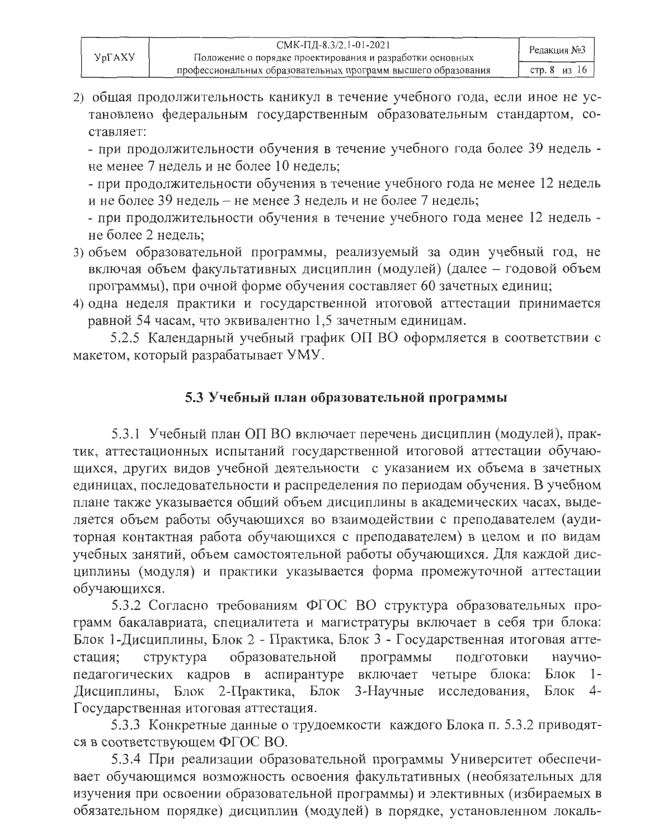2) общая продолжительность каникул в течение учебного года, если иное не установлено федеральным государственным образовательным стандартом, составляет:

- при продолжительности обучения в течение учебного года более 39 недель не менее 7 недель и не более 10 недель;

- при продолжительности обучения в течение учебного года не менее 12 недель и не более 39 недель – не менее 3 недель и не более 7 недель;

- при продолжительности обучения в течение учебного года менее 12 недель не более 2 недель:

- 3) объем образовательной программы, реализуемый за один учебный год, не включая объем факультативных дисциплин (модулей) (далее - годовой объем программы), при очной форме обучения составляет 60 зачетных единиц;
- 4) одна неделя практики и государственной итоговой аттестации принимается равной 54 часам, что эквивалентно 1,5 зачетным единицам.

5.2.5 Календарный учебный график ОП ВО оформляется в соответствии с макетом, который разрабатывает УМУ.

### 5.3 Учебный план образовательной программы

5.3.1 Учебный план ОП ВО включает перечень дисциплин (модулей), практик, аттестационных испытаний государственной итоговой аттестации обучающихся, других видов учебной деятельности с указанием их объема в зачетных единицах, последовательности и распределения по периодам обучения. В учебном плане также указывается общий объем дисциплины в академических часах, выделяется объем работы обучающихся во взаимодействии с преподавателем (аудиторная контактная работа обучающихся с преподавателем) в целом и по видам учебных занятий, объем самостоятельной работы обучающихся. Для каждой дисциплины (модуля) и практики указывается форма промежуточной аттестации обучающихся.

5.3.2 Согласно требованиям ФГОС ВО структура образовательных программ бакалавриата, специалитета и магистратуры включает в себя три блока: Блок 1-Дисциплины, Блок 2 - Практика, Блок 3 - Государственная итоговая аттеобразовательной структура программы ПОДГОТОВКИ научностация; педагогических кадров в аспирантуре включает четыре блока: Блок  $1 -$ 2-Практика, Блок 3-Научные исследования, Блок Дисциплины, Блок  $4-$ Государственная итоговая аттестация.

5.3.3 Конкретные данные о трудоемкости каждого Блока п. 5.3.2 приводятся в соответствующем ФГОС ВО.

5.3.4 При реализации образовательной программы Университет обеспечивает обучающимся возможность освоения факультативных (необязательных для изучения при освоении образовательной программы) и элективных (избираемых в обязательном порядке) дисциплин (модулей) в порядке, установленном локаль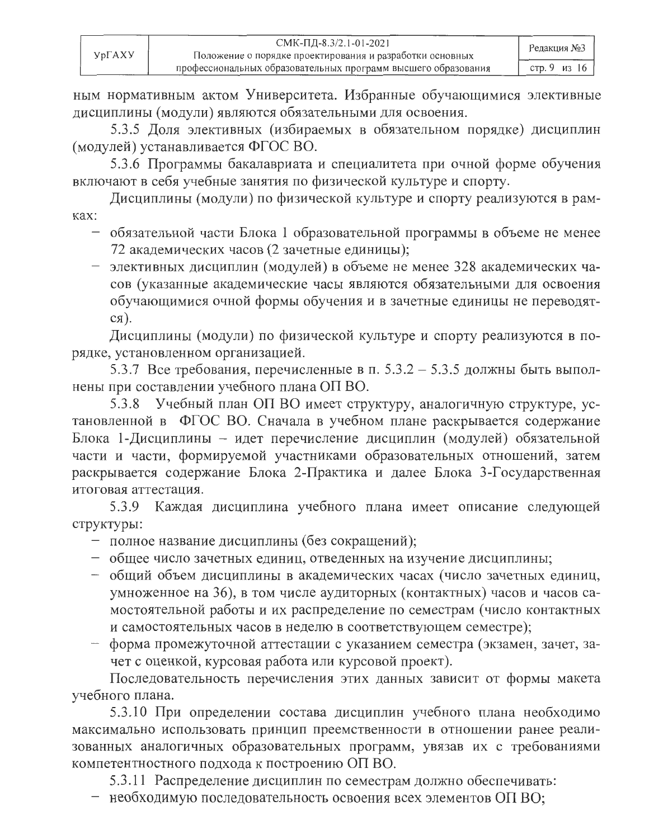ным нормативным актом Университета. Избранные обучающимися элективные дисциплины (модули) являются обязательными для освоения.

5.3.5 Доля элективных (избираемых в обязательном порядке) дисциплин (модулей) устанавливается ФГОС ВО.

5.3.6 Программы бакалавриата и специалитета при очной форме обучения включают в себя учебные занятия по физической культуре и спорту.

Дисциплины (модули) по физической культуре и спорту реализуются в рамках:

- обязательной части Блока 1 образовательной программы в объеме не менее 72 академических часов (2 зачетные единицы);
- элективных дисциплин (модулей) в объеме не менее 328 академических часов (указанные академические часы являются обязательными для освоения обучающимися очной формы обучения и в зачетные единицы не переводят $c$ я).

Дисциплины (модули) по физической культуре и спорту реализуются в порядке, установленном организацией.

5.3.7 Все требования, перечисленные в п. 5.3.2 - 5.3.5 должны быть выполнены при составлении учебного плана ОП ВО.

5.3.8 Учебный план ОП ВО имеет структуру, аналогичную структуре, установленной в ФГОС ВО. Сначала в учебном плане раскрывается содержание Блока 1-Дисциплины - идет перечисление дисциплин (модулей) обязательной части и части, формируемой участниками образовательных отношений, затем раскрывается содержание Блока 2-Практика и далее Блока 3-Государственная итоговая аттестания.

Каждая дисциплина учебного плана имеет описание следующей 5.3.9 структуры:

- полное название дисциплины (без сокращений);
- общее число зачетных единиц, отведенных на изучение дисциплины;
- общий объем дисциплины в академических часах (число зачетных единиц, умноженное на 36), в том числе аудиторных (контактных) часов и часов самостоятельной работы и их распределение по семестрам (число контактных и самостоятельных часов в неделю в соответствующем семестре);
- форма промежуточной аттестации с указанием семестра (экзамен, зачет, зачет с оценкой, курсовая работа или курсовой проект).

Последовательность перечисления этих данных зависит от формы макета учебного плана.

5.3.10 При определении состава дисциплин учебного плана необходимо максимально использовать принцип преемственности в отношении ранее реализованных аналогичных образовательных программ, увязав их с требованиями компетентностного подхода к построению ОП ВО.

5.3.11 Распределение дисциплин по семестрам должно обеспечивать:

- необходимую последовательность освоения всех элементов ОП ВО;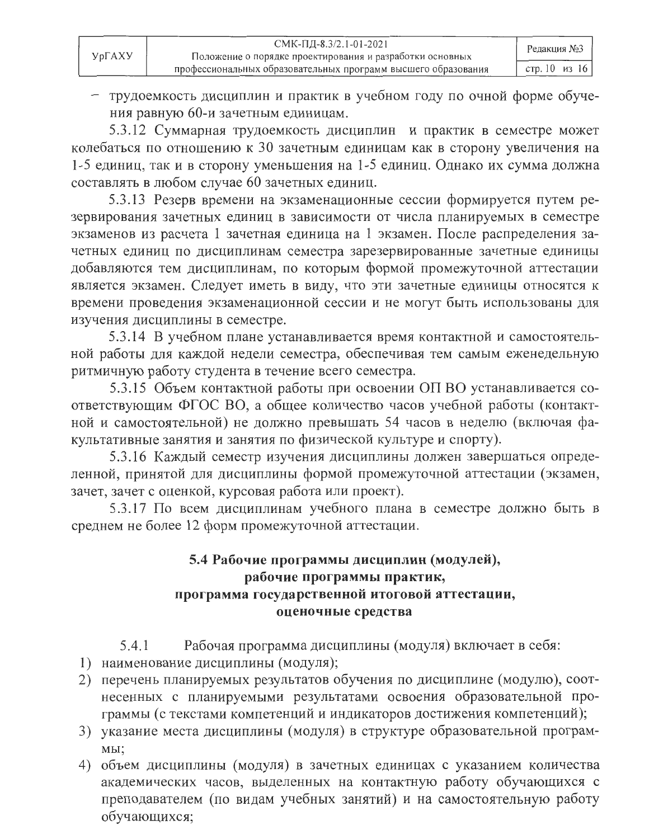- трудоемкость дисциплин и практик в учебном году по очной форме обучения равную 60-и зачетным единицам.

5.3.12 Суммарная трудоемкость дисциплин и практик в семестре может колебаться по отношению к 30 зачетным единицам как в сторону увеличения на 1-5 единиц, так и в сторону уменьшения на 1-5 единиц. Однако их сумма должна составлять в любом случае 60 зачетных единиц.

5.3.13 Резерв времени на экзаменационные сессии формируется путем резервирования зачетных единиц в зависимости от числа планируемых в семестре экзаменов из расчета 1 зачетная единица на 1 экзамен. После распределения зачетных единиц по дисциплинам семестра зарезервированные зачетные единицы добавляются тем дисциплинам, по которым формой промежуточной аттестации является экзамен. Следует иметь в виду, что эти зачетные единицы относятся к времени проведения экзаменационной сессии и не могут быть использованы для изучения дисциплины в семестре.

5.3.14 В учебном плане устанавливается время контактной и самостоятельной работы для каждой недели семестра, обеспечивая тем самым еженедельную ритмичную работу студента в течение всего семестра.

5.3.15 Объем контактной работы при освоении ОП ВО устанавливается соответствующим ФГОС ВО, а общее количество часов учебной работы (контактной и самостоятельной) не должно превышать 54 часов в неделю (включая факультативные занятия и занятия по физической культуре и спорту).

5.3.16 Каждый семестр изучения дисциплины должен завершаться определенной, принятой для дисциплины формой промежуточной аттестации (экзамен, зачет, зачет с оценкой, курсовая работа или проект).

5.3.17 По всем дисциплинам учебного плана в семестре должно быть в среднем не более 12 форм промежуточной аттестации.

### 5.4 Рабочие программы дисциплин (модулей), рабочие программы практик, программа государственной итоговой аттестации. оценочные средства

- Рабочая программа дисциплины (модуля) включает в себя:  $5.4.1$
- 1) наименование дисциплины (модуля);
- 2) перечень планируемых результатов обучения по дисциплине (модулю), соотнесенных с планируемыми результатами освоения образовательной программы (с текстами компетенций и индикаторов достижения компетенций);
- 3) указание места дисциплины (модуля) в структуре образовательной програм-MЫ:
- 4) объем дисциплины (модуля) в зачетных единицах с указанием количества академических часов, выделенных на контактную работу обучающихся с преподавателем (по видам учебных занятий) и на самостоятельную работу обучающихся;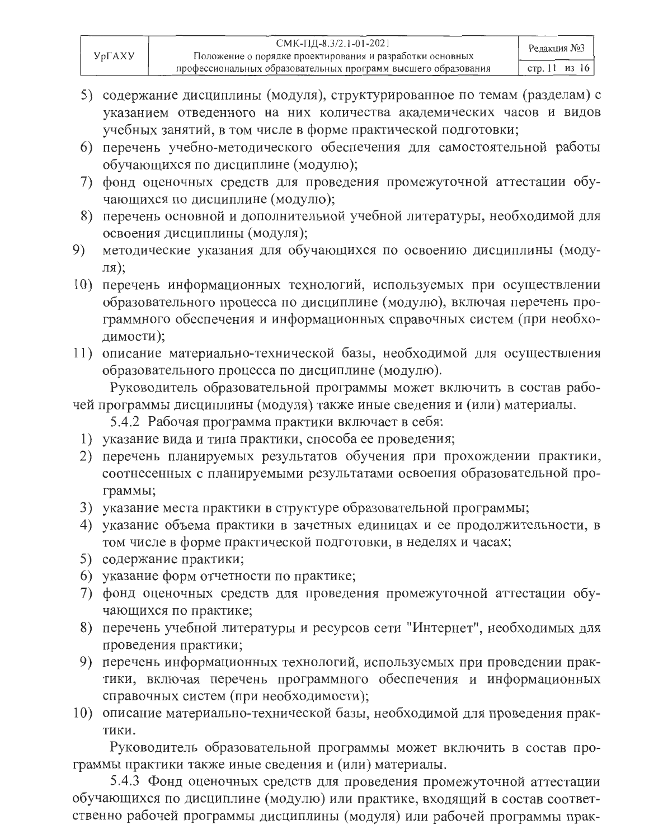- 5) содержание дисциплины (модуля), структурированное по темам (разделам) с указанием отведенного на них количества академических часов и видов учебных занятий, в том числе в форме практической подготовки;
- 6) перечень учебно-методического обеспечения для самостоятельной работы обучающихся по дисциплине (модулю);
- 7) фонд оценочных средств для проведения промежуточной аттестации обучающихся по дисциплине (модулю);
- 8) перечень основной и дополнительной учебной литературы, необходимой для освоения дисциплины (модуля);
- методические указания для обучающихся по освоению дисциплины (моду-9)  $J(RL)$
- 10) перечень информационных технологий, используемых при осуществлении образовательного процесса по дисциплине (модулю), включая перечень программного обеспечения и информационных справочных систем (при необходимости);
- 11) описание материально-технической базы, необходимой для осуществления образовательного процесса по дисциплине (модулю).

Руководитель образовательной программы может включить в состав рабочей программы дисциплины (модуля) также иные сведения и (или) материалы.

- 5.4.2 Рабочая программа практики включает в себя:
- 1) указание вида и типа практики, способа ее проведения;
- 2) перечень планируемых результатов обучения при прохождении практики, соотнесенных с планируемыми результатами освоения образовательной программы;
- 3) указание места практики в структуре образовательной программы;
- 4) указание объема практики в зачетных единицах и ее продолжительности, в том числе в форме практической подготовки, в неделях и часах;
- 5) содержание практики;
- 6) указание форм отчетности по практике;
- 7) фонд оценочных средств для проведения промежуточной аттестации обучающихся по практике;
- 8) перечень учебной литературы и ресурсов сети "Интернет", необходимых для проведения практики;
- 9) перечень информационных технологий, используемых при проведении практики, включая перечень программного обеспечения и информационных справочных систем (при необходимости);
- 10) описание материально-технической базы, необходимой для проведения практики.

Руководитель образовательной программы может включить в состав программы практики также иные сведения и (или) материалы.

5.4.3 Фонд оценочных средств для проведения промежуточной аттестации обучающихся по дисциплине (модулю) или практике, входящий в состав соответственно рабочей программы дисциплины (модуля) или рабочей программы прак-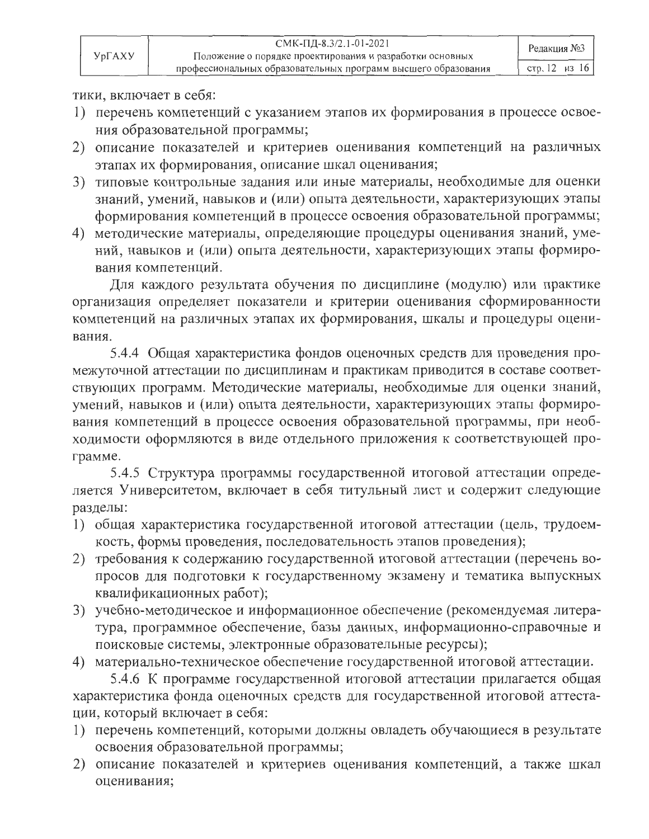| $Yp\Gamma A XY$ | СМК-ПД-8.3/2.1-01-2021<br>Положение о порядке проектирования и разработки основных | Редакция №3   |
|-----------------|------------------------------------------------------------------------------------|---------------|
|                 | профессиональных образовательных программ высшего образования                      | стр. 12 из 16 |

тики, включает в себя:

- 1) перечень компетенций с указанием этапов их формирования в процессе освоения образовательной программы;
- 2) описание показателей и критериев оценивания компетенций на различных этапах их формирования, описание шкал оценивания;
- 3) типовые контрольные задания или иные материалы, необходимые для оценки знаний, умений, навыков и (или) опыта деятельности, характеризующих этапы формирования компетенций в процессе освоения образовательной программы;
- 4) методические материалы, определяющие процедуры оценивания знаний, умений, навыков и (или) опыта деятельности, характеризующих этапы формирования компетенций.

Для каждого результата обучения по дисциплине (модулю) или практике организация определяет показатели и критерии оценивания сформированности компетенций на различных этапах их формирования, шкалы и процедуры оценивания.

5.4.4 Общая характеристика фондов оценочных средств для проведения промежуточной аттестации по дисциплинам и практикам приводится в составе соответствующих программ. Методические материалы, необходимые для оценки знаний, умений, навыков и (или) опыта деятельности, характеризующих этапы формирования компетенций в процессе освоения образовательной программы, при необходимости оформляются в виде отдельного приложения к соответствующей программе.

5.4.5 Структура программы государственной итоговой аттестации определяется Университетом, включает в себя титульный лист и содержит следующие разделы:

- 1) общая характеристика государственной итоговой аттестации (цель, трудоемкость, формы проведения, последовательность этапов проведения);
- 2) требования к содержанию государственной итоговой аттестации (перечень вопросов для подготовки к государственному экзамену и тематика выпускных квалификационных работ);
- 3) учебно-методическое и информационное обеспечение (рекомендуемая литература, программное обеспечение, базы данных, информационно-справочные и поисковые системы, электронные образовательные ресурсы);

4) материально-техническое обеспечение государственной итоговой аттестации.

5.4.6 К программе государственной итоговой аттестации прилагается общая характеристика фонда оценочных средств для государственной итоговой аттестации, который включает в себя:

- 1) перечень компетенций, которыми должны овладеть обучающиеся в результате освоения образовательной программы;
- 2) описание показателей и критериев оценивания компетенций, а также шкал оценивания;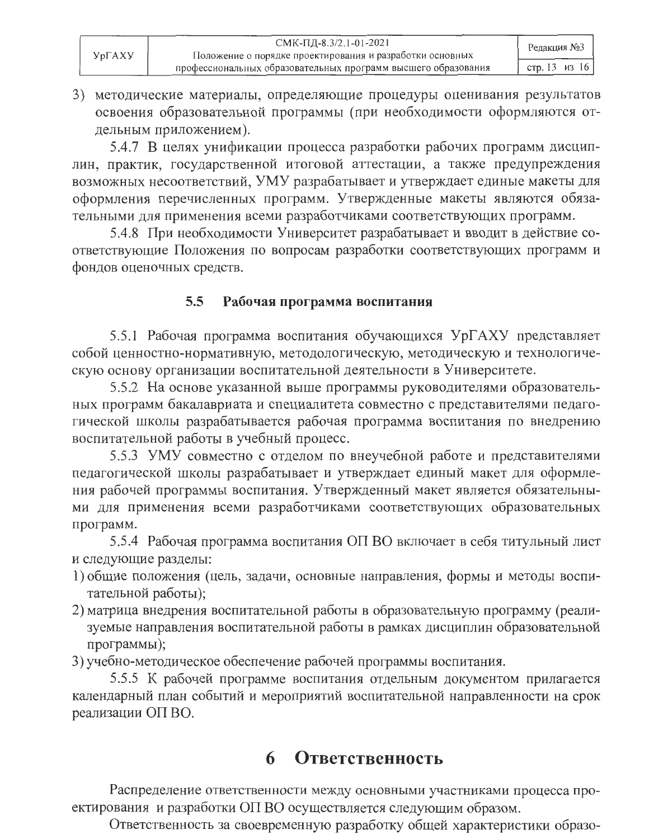| YpΓAXY | СМК-ПД-8.3/2.1-01-2021<br>Положение о порядке проектирования и разработки основных | Редакция №3   |
|--------|------------------------------------------------------------------------------------|---------------|
|        | профессиональных образовательных программ высшего образования                      | стр. 13 из 16 |

3) методические материалы, определяющие процедуры оценивания результатов освоения образовательной программы (при необходимости оформляются отдельным приложением).

5.4.7 В целях унификации процесса разработки рабочих программ дисциплин, практик, государственной итоговой аттестации, а также предупреждения возможных несоответствий, УМУ разрабатывает и утверждает единые макеты для оформления перечисленных программ. Утвержденные макеты являются обязательными для применения всеми разработчиками соответствующих программ.

5.4.8 При необходимости Университет разрабатывает и вводит в действие соответствующие Положения по вопросам разработки соответствующих программ и фондов оценочных средств.

#### $5.5$ Рабочая программа воспитания

5.5.1 Рабочая программа воспитания обучающихся УрГАХУ представляет собой ценностно-нормативную, методологическую, методическую и технологическую основу организации воспитательной деятельности в Университете.

5.5.2 На основе указанной выше программы руководителями образовательных программ бакалавриата и специалитета совместно с представителями педагогической школы разрабатывается рабочая программа воспитания по внедрению воспитательной работы в учебный процесс.

5.5.3 УМУ совместно с отделом по внеучебной работе и представителями педагогической школы разрабатывает и утверждает единый макет для оформления рабочей программы воспитания. Утвержденный макет является обязательными для применения всеми разработчиками соответствующих образовательных программ.

5.5.4 Рабочая программа воспитания ОП ВО включает в себя титульный лист и следующие разделы:

- 1) общие положения (цель, задачи, основные направления, формы и методы воспитательной работы);
- 2) матрица внедрения воспитательной работы в образовательную программу (реализуемые направления воспитательной работы в рамках дисциплин образовательной программы);

3) учебно-методическое обеспечение рабочей программы воспитания.

5.5.5 К рабочей программе воспитания отдельным документом прилагается календарный план событий и мероприятий воспитательной направленности на срок реализации ОП ВО.

# 6 Ответственность

Распределение ответственности между основными участниками процесса проектирования и разработки ОП ВО осуществляется следующим образом.

Ответственность за своевременную разработку общей характеристики образо-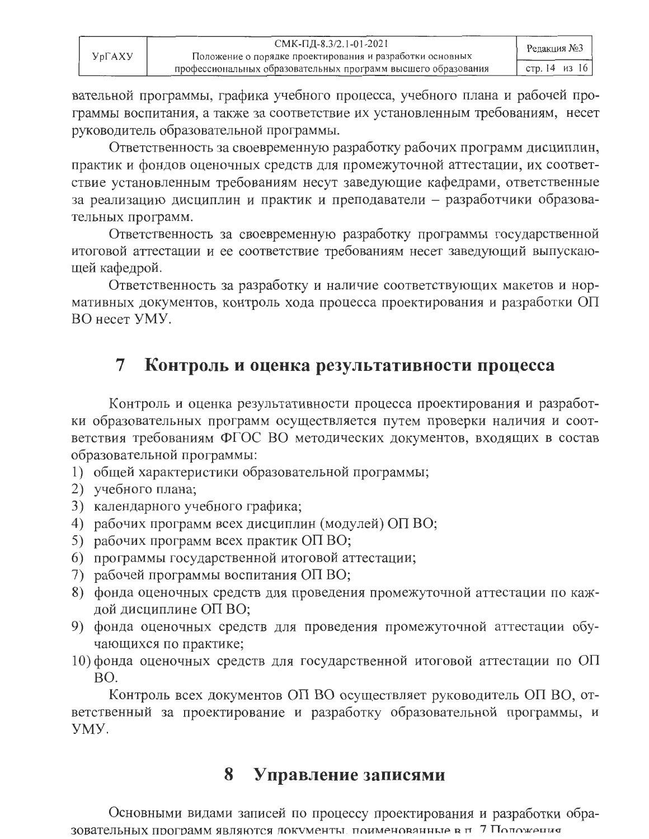| <b>YprAXY</b> | СМК-ПД-8.3/2.1-01-2021<br>Положение о порядке проектирования и разработки основных | Редакция №3   |
|---------------|------------------------------------------------------------------------------------|---------------|
|               | профессиональных образовательных программ высшего образования                      | стр. 14 из 16 |

вательной программы, графика учебного процесса, учебного плана и рабочей программы воспитания, а также за соответствие их установленным требованиям, несет руководитель образовательной программы.

Ответственность за своевременную разработку рабочих программ дисциплин, практик и фондов оценочных средств для промежуточной аттестации, их соответствие установленным требованиям несут заведующие кафедрами, ответственные за реализацию дисциплин и практик и преподаватели - разработчики образовательных программ.

Ответственность за своевременную разработку программы государственной итоговой аттестации и ее соответствие требованиям несет заведующий выпускающей кафедрой.

Ответственность за разработку и наличие соответствующих макетов и нормативных документов, контроль хода процесса проектирования и разработки ОП ВО несет УМУ.

#### $\overline{7}$ Контроль и оценка результативности процесса

Контроль и оценка результативности процесса проектирования и разработки образовательных программ осуществляется путем проверки наличия и соответствия требованиям ФГОС ВО методических документов, входящих в состав образовательной программы:

- 1) общей характеристики образовательной программы;
- 2) учебного плана;
- 3) календарного учебного графика;
- 4) рабочих программ всех дисциплин (модулей) ОП ВО;
- 5) рабочих программ всех практик ОП ВО;
- 6) программы государственной итоговой аттестации;
- 7) рабочей программы воспитания ОП ВО;
- 8) фонда оценочных средств для проведения промежуточной аттестации по каждой дисциплине ОП ВО;
- 9) фонда оценочных средств для проведения промежуточной аттестации обучающихся по практике;
- 10) фонда оценочных средств для государственной итоговой аттестации по ОП BO.

Контроль всех документов ОП ВО осуществляет руководитель ОП ВО, ответственный за проектирование и разработку образовательной программы, и YMY.

#### Управление записями 8

Основными видами записей по процессу проектирования и разработки обра-ЗОВАТЕЛЬНЫХ ПРОГРАММ ЯВЛЯЮТСЯ ЛОКУМЕНТЫ. ПОИМЕНОВАННЫЕ В П 7 ПОЛОЖЕНИЯ